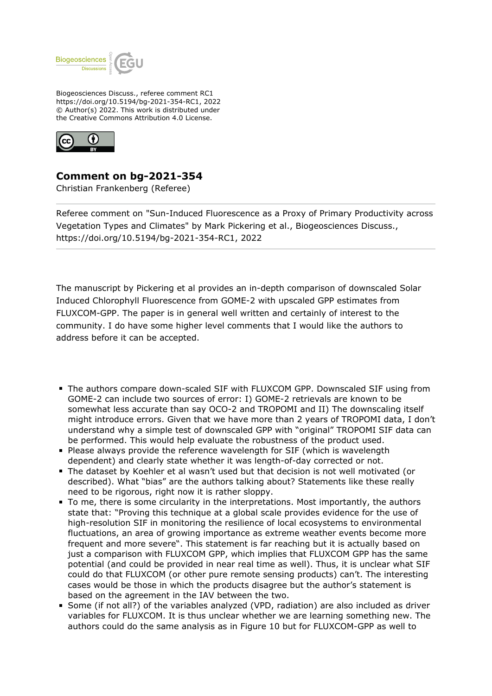

Biogeosciences Discuss., referee comment RC1 https://doi.org/10.5194/bg-2021-354-RC1, 2022 © Author(s) 2022. This work is distributed under the Creative Commons Attribution 4.0 License.



**Comment on bg-2021-354**

Christian Frankenberg (Referee)

Referee comment on "Sun-Induced Fluorescence as a Proxy of Primary Productivity across Vegetation Types and Climates" by Mark Pickering et al., Biogeosciences Discuss., https://doi.org/10.5194/bg-2021-354-RC1, 2022

The manuscript by Pickering et al provides an in-depth comparison of downscaled Solar Induced Chlorophyll Fluorescence from GOME-2 with upscaled GPP estimates from FLUXCOM-GPP. The paper is in general well written and certainly of interest to the community. I do have some higher level comments that I would like the authors to address before it can be accepted.

- The authors compare down-scaled SIF with FLUXCOM GPP. Downscaled SIF using from GOME-2 can include two sources of error: I) GOME-2 retrievals are known to be somewhat less accurate than say OCO-2 and TROPOMI and II) The downscaling itself might introduce errors. Given that we have more than 2 years of TROPOMI data, I don't understand why a simple test of downscaled GPP with "original" TROPOMI SIF data can be performed. This would help evaluate the robustness of the product used.
- **Please always provide the reference wavelength for SIF (which is wavelength)** dependent) and clearly state whether it was length-of-day corrected or not.
- The dataset by Koehler et al wasn't used but that decision is not well motivated (or described). What "bias" are the authors talking about? Statements like these really need to be rigorous, right now it is rather sloppy.
- To me, there is some circularity in the interpretations. Most importantly, the authors state that: "Proving this technique at a global scale provides evidence for the use of high-resolution SIF in monitoring the resilience of local ecosystems to environmental fluctuations, an area of growing importance as extreme weather events become more frequent and more severe". This statement is far reaching but it is actually based on just a comparison with FLUXCOM GPP, which implies that FLUXCOM GPP has the same potential (and could be provided in near real time as well). Thus, it is unclear what SIF could do that FLUXCOM (or other pure remote sensing products) can't. The interesting cases would be those in which the products disagree but the author's statement is based on the agreement in the IAV between the two.
- Some (if not all?) of the variables analyzed (VPD, radiation) are also included as driver variables for FLUXCOM. It is thus unclear whether we are learning something new. The authors could do the same analysis as in Figure 10 but for FLUXCOM-GPP as well to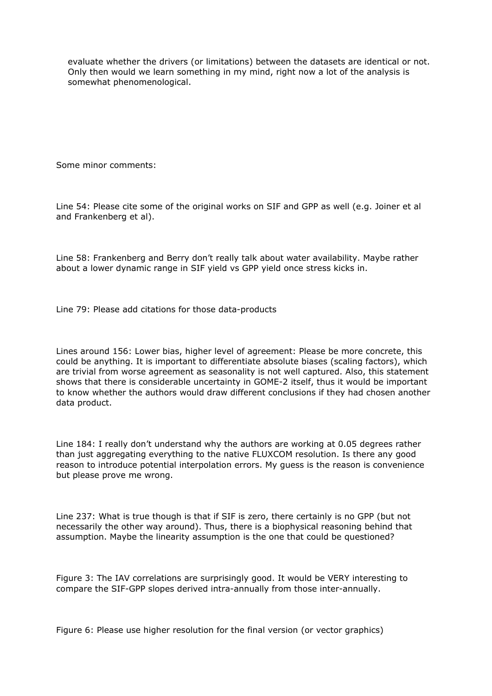evaluate whether the drivers (or limitations) between the datasets are identical or not. Only then would we learn something in my mind, right now a lot of the analysis is somewhat phenomenological.

Some minor comments:

Line 54: Please cite some of the original works on SIF and GPP as well (e.g. Joiner et al and Frankenberg et al).

Line 58: Frankenberg and Berry don't really talk about water availability. Maybe rather about a lower dynamic range in SIF yield vs GPP yield once stress kicks in.

Line 79: Please add citations for those data-products

Lines around 156: Lower bias, higher level of agreement: Please be more concrete, this could be anything. It is important to differentiate absolute biases (scaling factors), which are trivial from worse agreement as seasonality is not well captured. Also, this statement shows that there is considerable uncertainty in GOME-2 itself, thus it would be important to know whether the authors would draw different conclusions if they had chosen another data product.

Line 184: I really don't understand why the authors are working at 0.05 degrees rather than just aggregating everything to the native FLUXCOM resolution. Is there any good reason to introduce potential interpolation errors. My guess is the reason is convenience but please prove me wrong.

Line 237: What is true though is that if SIF is zero, there certainly is no GPP (but not necessarily the other way around). Thus, there is a biophysical reasoning behind that assumption. Maybe the linearity assumption is the one that could be questioned?

Figure 3: The IAV correlations are surprisingly good. It would be VERY interesting to compare the SIF-GPP slopes derived intra-annually from those inter-annually.

Figure 6: Please use higher resolution for the final version (or vector graphics)